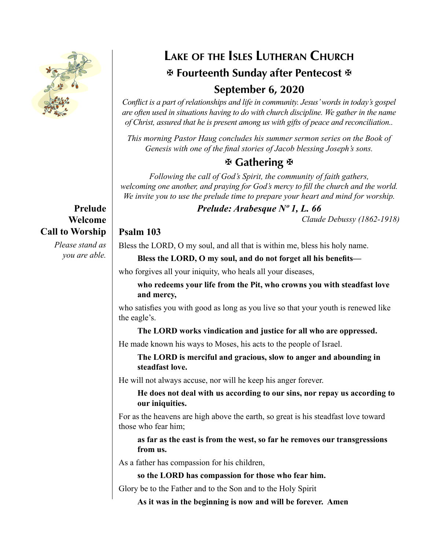

**Prelude Welcome Call to Worship**

> *Please stand as you are able.*

# Lake of the Isles Lutheran Church Fourteenth Sunday after Pentecost

# September 6, 2020

*Conflict is a part of relationships and life in community. Jesus' words in today's gospel are often used in situations having to do with church discipline. We gather in the name of Christ, assured that he is present among us with gifts of peace and reconciliation..*

*This morning Pastor Haug concludes his summer sermon series on the Book of Genesis with one of the final stories of Jacob blessing Joseph's sons.*

# $\Phi$  **Gathering**  $\Phi$

*Following the call of God's Spirit, the community of faith gathers, welcoming one another, and praying for God's mercy to fill the church and the world. We invite you to use the prelude time to prepare your heart and mind for worship.*

*Prelude: Arabesque Nº 1, L. 66* 

*Claude Debussy (1862-1918)*

# **Psalm 103**

Bless the LORD, O my soul, and all that is within me, bless his holy name.

# **Bless the LORD, O my soul, and do not forget all his benefits—**

who forgives all your iniquity, who heals all your diseases,

# **who redeems your life from the Pit, who crowns you with steadfast love and mercy,**

who satisfies you with good as long as you live so that your youth is renewed like the eagle's.

# **The LORD works vindication and justice for all who are oppressed.**

He made known his ways to Moses, his acts to the people of Israel.

## **The LORD is merciful and gracious, slow to anger and abounding in steadfast love.**

He will not always accuse, nor will he keep his anger forever.

# **He does not deal with us according to our sins, nor repay us according to our iniquities.**

For as the heavens are high above the earth, so great is his steadfast love toward those who fear him;

**as far as the east is from the west, so far he removes our transgressions from us.**

As a father has compassion for his children,

**so the LORD has compassion for those who fear him.**

Glory be to the Father and to the Son and to the Holy Spirit

# **As it was in the beginning is now and will be forever. Amen**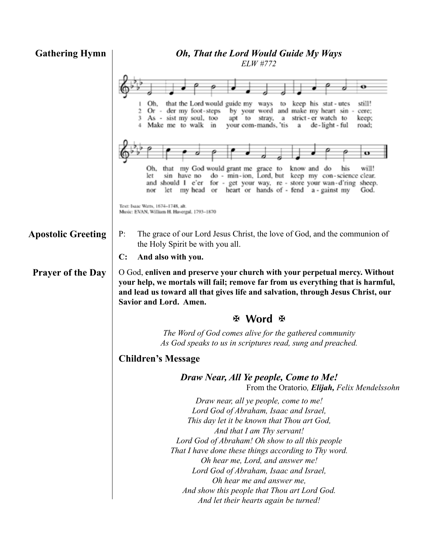| <b>Gathering Hymn</b>     | <b>Oh, That the Lord Would Guide My Ways</b><br>ELW #772                                                                                                                                                                                                                                                                                                                                                                                                                    |  |  |
|---------------------------|-----------------------------------------------------------------------------------------------------------------------------------------------------------------------------------------------------------------------------------------------------------------------------------------------------------------------------------------------------------------------------------------------------------------------------------------------------------------------------|--|--|
|                           | that the Lord would guide my ways<br>keep his stat - utes<br>still!<br>Oh.<br>to<br>Or - der my foot-steps by your word and make my heart sin -<br>cere;<br>As - sist my soul, too<br>apt to stray, a strict-er watch to<br>keep;<br>Make me to walk in<br>your com-mands, 'tis<br>de-light - ful<br>road;<br>а                                                                                                                                                             |  |  |
|                           | Oh, that my God would grant me grace to<br>will!<br>know and<br>do<br>his<br>do - min-ion, Lord, but keep my con-science clear.<br>sin have no<br>let<br>and should I e'er for - get your way, re - store your wan-d'ring sheep.<br>let my head or heart or hands of - fend a - gainst my<br>God.<br>nor                                                                                                                                                                    |  |  |
|                           | Text: Isaac Watts, 1674-1748, alt.<br>Music: EVAN, William H. Havergal, 1793-1870                                                                                                                                                                                                                                                                                                                                                                                           |  |  |
| <b>Apostolic Greeting</b> | P:<br>The grace of our Lord Jesus Christ, the love of God, and the communion of<br>the Holy Spirit be with you all.                                                                                                                                                                                                                                                                                                                                                         |  |  |
|                           | $\mathbf{C}$ :<br>And also with you.                                                                                                                                                                                                                                                                                                                                                                                                                                        |  |  |
| <b>Prayer of the Day</b>  | O God, enliven and preserve your church with your perpetual mercy. Without<br>your help, we mortals will fail; remove far from us everything that is harmful,<br>and lead us toward all that gives life and salvation, through Jesus Christ, our<br><b>Savior and Lord. Amen.</b>                                                                                                                                                                                           |  |  |
|                           | 图 Word 图                                                                                                                                                                                                                                                                                                                                                                                                                                                                    |  |  |
|                           | The Word of God comes alive for the gathered community<br>As God speaks to us in scriptures read, sung and preached.<br><b>Children's Message</b><br><b>Draw Near, All Ye people, Come to Me!</b><br>From the Oratorio, <i>Elijah</i> , <i>Felix Mendelssohn</i>                                                                                                                                                                                                            |  |  |
|                           |                                                                                                                                                                                                                                                                                                                                                                                                                                                                             |  |  |
|                           |                                                                                                                                                                                                                                                                                                                                                                                                                                                                             |  |  |
|                           | Draw near, all ye people, come to me!<br>Lord God of Abraham, Isaac and Israel,<br>This day let it be known that Thou art God,<br>And that I am Thy servant!<br>Lord God of Abraham! Oh show to all this people<br>That I have done these things according to Thy word.<br>Oh hear me, Lord, and answer me!<br>Lord God of Abraham, Isaac and Israel,<br>Oh hear me and answer me,<br>And show this people that Thou art Lord God.<br>And let their hearts again be turned! |  |  |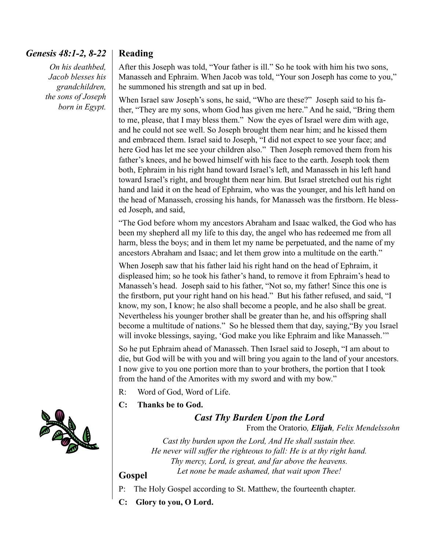## *Genesis 48:1-2, 8-22* **Reading**

*On his deathbed, Jacob blesses his grandchildren, the sons of Joseph born in Egypt.* 

After this Joseph was told, "Your father is ill." So he took with him his two sons, Manasseh and Ephraim. When Jacob was told, "Your son Joseph has come to you," he summoned his strength and sat up in bed.

When Israel saw Joseph's sons, he said, "Who are these?" Joseph said to his father, "They are my sons, whom God has given me here." And he said, "Bring them to me, please, that I may bless them." Now the eyes of Israel were dim with age, and he could not see well. So Joseph brought them near him; and he kissed them and embraced them. Israel said to Joseph, "I did not expect to see your face; and here God has let me see your children also." Then Joseph removed them from his father's knees, and he bowed himself with his face to the earth. Joseph took them both, Ephraim in his right hand toward Israel's left, and Manasseh in his left hand toward Israel's right, and brought them near him. But Israel stretched out his right hand and laid it on the head of Ephraim, who was the younger, and his left hand on the head of Manasseh, crossing his hands, for Manasseh was the firstborn. He blessed Joseph, and said,

"The God before whom my ancestors Abraham and Isaac walked, the God who has been my shepherd all my life to this day, the angel who has redeemed me from all harm, bless the boys; and in them let my name be perpetuated, and the name of my ancestors Abraham and Isaac; and let them grow into a multitude on the earth."

When Joseph saw that his father laid his right hand on the head of Ephraim, it displeased him; so he took his father's hand, to remove it from Ephraim's head to Manasseh's head. Joseph said to his father, "Not so, my father! Since this one is the firstborn, put your right hand on his head." But his father refused, and said, "I know, my son, I know; he also shall become a people, and he also shall be great. Nevertheless his younger brother shall be greater than he, and his offspring shall become a multitude of nations." So he blessed them that day, saying,"By you Israel will invoke blessings, saying, 'God make you like Ephraim and like Manasseh.'"

So he put Ephraim ahead of Manasseh. Then Israel said to Joseph, "I am about to die, but God will be with you and will bring you again to the land of your ancestors. I now give to you one portion more than to your brothers, the portion that I took from the hand of the Amorites with my sword and with my bow."

R: Word of God, Word of Life.

**C: Thanks be to God.**

# *Cast Thy Burden Upon the Lord*

From the Oratorio*, Elijah, Felix Mendelssohn*

*Cast thy burden upon the Lord, And He shall sustain thee. He never will suffer the righteous to fall: He is at thy right hand. Thy mercy, Lord, is great, and far above the heavens. Let none be made ashamed, that wait upon Thee!* **Gospel**

- P: The Holy Gospel according to St. Matthew, the fourteenth chapter.
- **C: Glory to you, O Lord.**

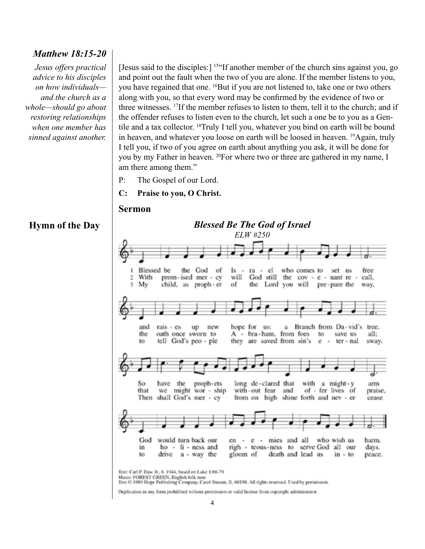## *Matthew 18:15-20*

*Jesus offers practical advice to his disciples on how individuals and the church as a whole—should go about restoring relationships when one member has sinned against another.*

[Jesus said to the disciples:] <sup>15"</sup>If another member of the church sins against you, go and point out the fault when the two of you are alone. If the member listens to you, you have regained that one. 16But if you are not listened to, take one or two others along with you, so that every word may be confirmed by the evidence of two or three witnesses. 17If the member refuses to listen to them, tell it to the church; and if the offender refuses to listen even to the church, let such a one be to you as a Gentile and a tax collector. <sup>18</sup>Truly I tell you, whatever you bind on earth will be bound in heaven, and whatever you loose on earth will be loosed in heaven. 19Again, truly I tell you, if two of you agree on earth about anything you ask, it will be done for you by my Father in heaven. <sup>20</sup>For where two or three are gathered in my name, I am there among them."

- P: The Gospel of our Lord.
- **C: Praise to you, O Christ.**

## **Sermon**



Text © 1989 Hope Publishing Company, Carol Stream, IL 60188. All rights reserved. Used by permission.

Duplication in any form prohibited without permission or valid license from copyright administrator.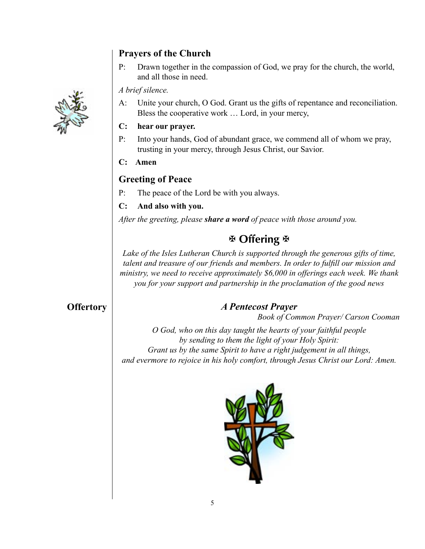# **Prayers of the Church**

P: Drawn together in the compassion of God, we pray for the church, the world, and all those in need.

*A brief silence.*

A: Unite your church, O God. Grant us the gifts of repentance and reconciliation. Bless the cooperative work … Lord, in your mercy,

## **C: hear our prayer.**

- P: Into your hands, God of abundant grace, we commend all of whom we pray, trusting in your mercy, through Jesus Christ, our Savior.
- **C: Amen**

# **Greeting of Peace**

- P: The peace of the Lord be with you always.
- **C: And also with you.**

*After the greeting, please share a word of peace with those around you.*

# **E** Offering **E**

Lake of the Isles Lutheran Church is supported through the generous gifts of time, *talent and treasure of our friends and members. In order to fulfill our mission and ministry, we need to receive approximately \$6,000 in offerings each week. We thank you for your support and partnership in the proclamation of the good news*

# **Offertory**

# *A Pentecost Prayer*

*Book of Common Prayer/ Carson Cooman*

*O God, who on this day taught the hearts of your faithful people by sending to them the light of your Holy Spirit: Grant us by the same Spirit to have a right judgement in all things, and evermore to rejoice in his holy comfort, through Jesus Christ our Lord: Amen.*



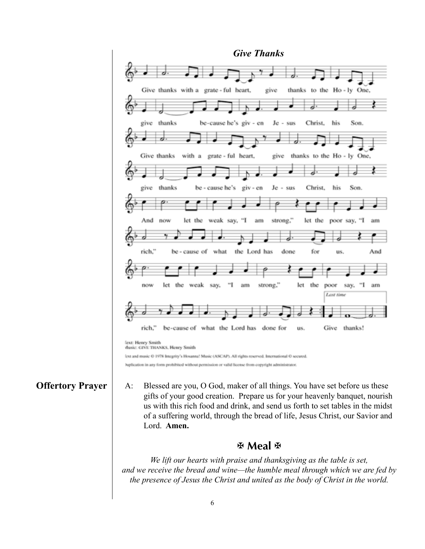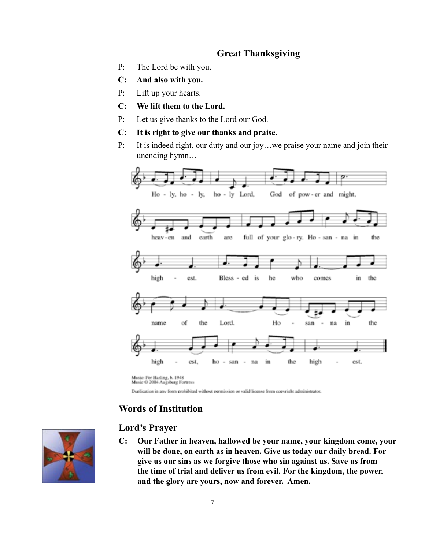# **Great Thanksgiving**

- P: The Lord be with you.
- **C: And also with you.**
- P: Lift up your hearts.
- **C: We lift them to the Lord.**
- P: Let us give thanks to the Lord our God.
- **C: It is right to give our thanks and praise.**
- P: It is indeed right, our duty and our joy…we praise your name and join their unending hymn…



Durlication in any form prohibited without permission or valid license from convricht administrator.

# **Words of Institution**





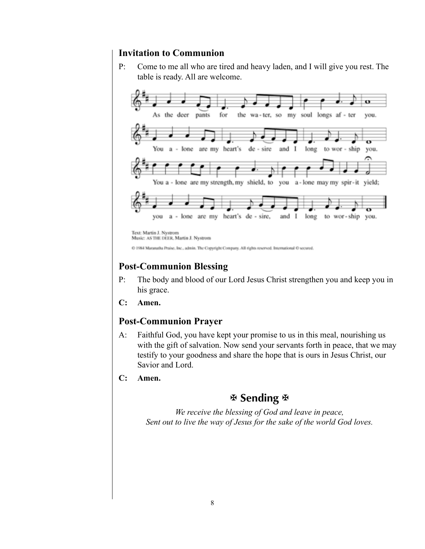# **Invitation to Communion**

P: Come to me all who are tired and heavy laden, and I will give you rest. The table is ready. All are welcome.



# **Post-Communion Blessing**

- P: The body and blood of our Lord Jesus Christ strengthen you and keep you in his grace.
- **C: Amen.**

# **Post-Communion Prayer**

- A: Faithful God, you have kept your promise to us in this meal, nourishing us with the gift of salvation. Now send your servants forth in peace, that we may testify to your goodness and share the hope that is ours in Jesus Christ, our Savior and Lord.
- **C: Amen.**

# **E** Sending **E**

*We receive the blessing of God and leave in peace, Sent out to live the way of Jesus for the sake of the world God loves.*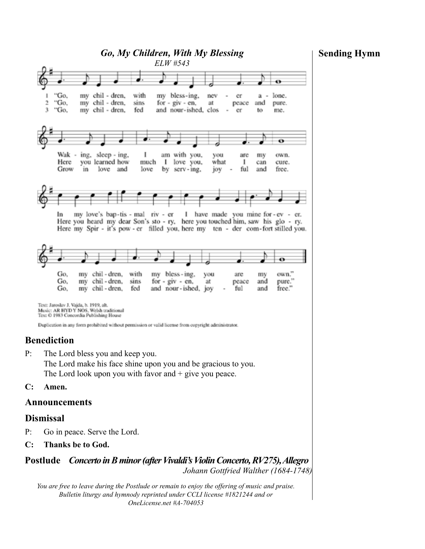

# **Sending Hymn**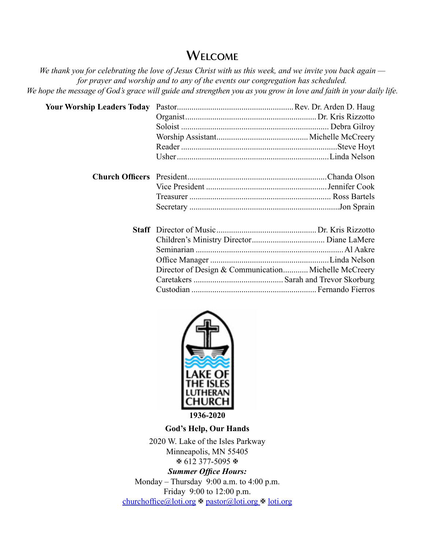# **Welcome**

*We thank you for celebrating the love of Jesus Christ with us this week, and we invite you back again for prayer and worship and to any of the events our congregation has scheduled. We hope the message of God's grace will guide and strengthen you as you grow in love and faith in your daily life.* 

| Director of Design & Communication Michelle McCreery |  |
|------------------------------------------------------|--|
|                                                      |  |

Custodian ............................................................ Fernando Fierros



**1936-2020**

**God's Help, Our Hands**

2020 W. Lake of the Isles Parkway Minneapolis, MN 55405 612 377-5095

*Summer Office Hours:* Monday – Thursday 9:00 a.m. to 4:00 p.m. Friday 9:00 to 12:00 p.m. [churchoffice@loti.org](mailto:churchoffice%40loti.org?subject=)  $\mathbf{\Psi}$  [pastor@loti.org](mailto:pastor%40loti.org?subject=)  $\mathbf{\Psi}$  [loti.org](http://loti.org)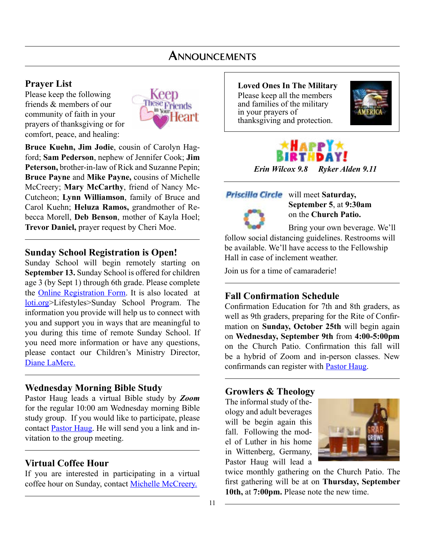# **Announcements**

# **Prayer List**

Please keep the following friends & members of our community of faith in your prayers of thanksgiving or for comfort, peace, and healing:



**Bruce Kuehn, Jim Jodie**, cousin of Carolyn Hagford; **Sam Pederson**, nephew of Jennifer Cook; **Jim Peterson,** brother-in-law of Rick and Suzanne Pepin; **Bruce Payne** and **Mike Payne,** cousins of Michelle McCreery; **Mary McCarthy**, friend of Nancy Mc-Cutcheon; **Lynn Williamson**, family of Bruce and Carol Kuehn; **Heluza Ramos,** grandmother of Rebecca Morell, **Deb Benson**, mother of Kayla Hoel; **Trevor Daniel,** prayer request by Cheri Moe.

## **Sunday School Registration is Open!**

Sunday School will begin remotely starting on **September 13.** Sunday School is offered for children age 3 (by Sept 1) through 6th grade. Please complete the [Online Registration Form](https://forms.gle/Gq3Rg4A2DQKnhK1b7). It is also located at [loti.org](http://loti.org)>Lifestyles>Sunday School Program. The information you provide will help us to connect with you and support you in ways that are meaningful to you during this time of remote Sunday School. If you need more information or have any questions, please contact our Children's Ministry Director, [Diane LaMere.](mailto:diane.lamere%40loti.org?subject=Sunday%20School%20Fall%202020)

# **Wednesday Morning Bible Study**

Pastor Haug leads a virtual Bible study by *Zoom* for the regular 10:00 am Wednesday morning Bible study group. If you would like to participate, please contact [Pastor Haug](mailto:pastor%40loti.org?subject=). He will send you a link and invitation to the group meeting.

# **Virtual Coffee Hour**

If you are interested in participating in a virtual coffee hour on Sunday, contact [Michelle McCreery](mailto:michelle.mccreery%40loti.org?subject=Zoom%20Coffee%20Hour).

**Loved Ones In The Military** Please keep all the members and families of the military in your prayers of thanksgiving and protection.





*Erin Wilcox 9.8 Ryker Alden 9.11*



**Priscilla Circle** will meet Saturday, **September 5**, at **9:30am** on the **Church Patio.**

Bring your own beverage. We'll follow social distancing guidelines. Restrooms will be available. We'll have access to the Fellowship Hall in case of inclement weather.

Join us for a time of camaraderie!

# **Fall Confirmation Schedule**

Confirmation Education for 7th and 8th graders, as well as 9th graders, preparing for the Rite of Confirmation on **Sunday, October 25th** will begin again on **Wednesday, September 9th** from **4:00-5:00pm** on the Church Patio. Confirmation this fall will be a hybrid of Zoom and in-person classes. New confirmands can register with [Pastor Haug](mailto:arden.haug%40loti.org?subject=Confirmation%20Fall%202020).

## **Growlers & Theology**

The informal study of theology and adult beverages will be begin again this fall. Following the model of Luther in his home in Wittenberg, Germany, Pastor Haug will lead a



twice monthly gathering on the Church Patio. The first gathering will be at on **Thursday, September 10th,** at **7:00pm.** Please note the new time.